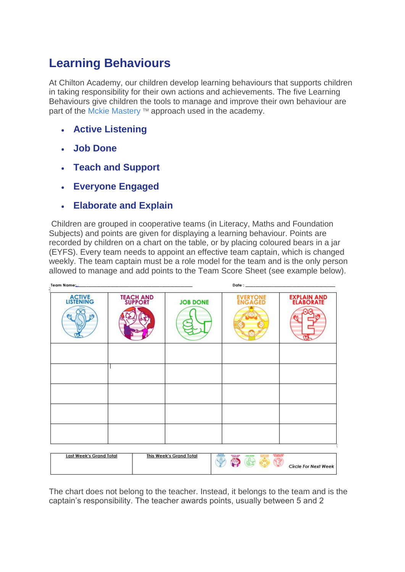## **Learning Behaviours**

At Chilton Academy, our children develop learning behaviours that supports children in taking responsibility for their own actions and achievements. The five Learning Behaviours give children the tools to manage and improve their own behaviour are part of the [Mckie Mastery](https://www.gpa.education/page/?title=McKie+Mastery+%28TM%29&pid=87) ™ approach used in the academy.

- **Active Listening**
- **Job Done**
- **Teach and Support**
- **Everyone Engaged**
- **Elaborate and Explain**

Children are grouped in cooperative teams (in Literacy, Maths and Foundation Subjects) and points are given for displaying a learning behaviour. Points are recorded by children on a chart on the table, or by placing coloured bears in a jar (EYFS). Every team needs to appoint an effective team captain, which is changed weekly. The team captain must be a role model for the team and is the only person allowed to manage and add points to the Team Score Sheet (see example below).

| Team Name:                 |                              | Date: http://www.archive.com/ |                            |                                         |
|----------------------------|------------------------------|-------------------------------|----------------------------|-----------------------------------------|
| <b>ACTIVE</b><br>LISTENING | <b>TEACH AND<br/>SUPPORT</b> | <b>JOB DONE</b>               | <b>EVERYONE</b><br>ENGAGED | EXPLAIN AND<br>ELABORATE                |
|                            |                              |                               |                            |                                         |
|                            |                              |                               |                            |                                         |
|                            |                              |                               |                            |                                         |
| Last Week's Grand Total    |                              | This Week's Grand Total<br>麻詰 | <b>Malage</b><br>JOB DONE  | <b>VOISSIN'</b><br>Circle For Next Week |

The chart does not belong to the teacher. Instead, it belongs to the team and is the captain's responsibility. The teacher awards points, usually between 5 and 2